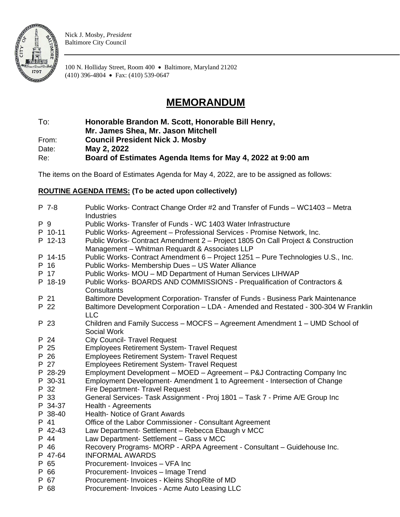

Nick J. Mosby, *President* Baltimore City Council

100 N. Holliday Street, Room 400 • Baltimore, Maryland 21202 (410) 396-4804 • Fax: (410) 539-0647

## **MEMORANDUM**

To: **Honorable Brandon M. Scott, Honorable Bill Henry,** 

**Mr. James Shea, Mr. Jason Mitchell**

From: **Council President Nick J. Mosby**

Date: **May 2, 2022**

## Re: **Board of Estimates Agenda Items for May 4, 2022 at 9:00 am**

The items on the Board of Estimates Agenda for May 4, 2022, are to be assigned as follows:

## **ROUTINE AGENDA ITEMS: (To be acted upon collectively)**

|     | P 7-8   | Public Works- Contract Change Order #2 and Transfer of Funds - WC1403 - Metra<br><b>Industries</b>                                 |  |  |  |
|-----|---------|------------------------------------------------------------------------------------------------------------------------------------|--|--|--|
| P 9 |         | Public Works-Transfer of Funds - WC 1403 Water Infrastructure                                                                      |  |  |  |
|     | P 10-11 | Public Works- Agreement - Professional Services - Promise Network, Inc.                                                            |  |  |  |
|     | P 12-13 | Public Works- Contract Amendment 2 – Project 1805 On Call Project & Construction<br>Management - Whitman Requardt & Associates LLP |  |  |  |
|     | P 14-15 | Public Works- Contract Amendment 6 - Project 1251 - Pure Technologies U.S., Inc.                                                   |  |  |  |
|     | P 16    | Public Works- Membership Dues - US Water Alliance                                                                                  |  |  |  |
|     | P 17    | Public Works- MOU - MD Department of Human Services LIHWAP                                                                         |  |  |  |
|     | P 18-19 | Public Works- BOARDS AND COMMISSIONS - Prequalification of Contractors &<br>Consultants                                            |  |  |  |
|     | P 21    | Baltimore Development Corporation- Transfer of Funds - Business Park Maintenance                                                   |  |  |  |
|     | P 22    | Baltimore Development Corporation - LDA - Amended and Restated - 300-304 W Franklin<br><b>LLC</b>                                  |  |  |  |
|     | P 23    | Children and Family Success – MOCFS – Agreement Amendment 1 – UMD School of                                                        |  |  |  |
|     |         | Social Work                                                                                                                        |  |  |  |
|     | P 24    | <b>City Council- Travel Request</b>                                                                                                |  |  |  |
|     | P 25    | <b>Employees Retirement System- Travel Request</b>                                                                                 |  |  |  |
|     | P 26    | <b>Employees Retirement System- Travel Request</b>                                                                                 |  |  |  |
|     | P 27    | <b>Employees Retirement System- Travel Request</b>                                                                                 |  |  |  |
|     | P 28-29 | Employment Development - MOED - Agreement - P&J Contracting Company Inc                                                            |  |  |  |
|     | P 30-31 | Employment Development- Amendment 1 to Agreement - Intersection of Change                                                          |  |  |  |
|     | P 32    | <b>Fire Department- Travel Request</b>                                                                                             |  |  |  |
|     | P 33    | General Services- Task Assignment - Proj 1801 - Task 7 - Prime A/E Group Inc                                                       |  |  |  |
|     | P 34-37 | Health - Agreements                                                                                                                |  |  |  |
|     | P 38-40 | Health- Notice of Grant Awards                                                                                                     |  |  |  |
|     | P 41    | Office of the Labor Commissioner - Consultant Agreement                                                                            |  |  |  |
|     | P 42-43 | Law Department- Settlement - Rebecca Ebaugh v MCC                                                                                  |  |  |  |
|     | P 44    | Law Department- Settlement - Gass v MCC                                                                                            |  |  |  |
|     | P 46    | Recovery Programs-MORP - ARPA Agreement - Consultant - Guidehouse Inc.                                                             |  |  |  |
|     | P 47-64 | <b>INFORMAL AWARDS</b>                                                                                                             |  |  |  |
|     | P 65    | Procurement- Invoices - VFA Inc                                                                                                    |  |  |  |
|     | P 66    | Procurement- Invoices - Image Trend                                                                                                |  |  |  |
|     | P 67    | Procurement- Invoices - Kleins ShopRite of MD                                                                                      |  |  |  |
|     | P 68    | Procurement- Invoices - Acme Auto Leasing LLC                                                                                      |  |  |  |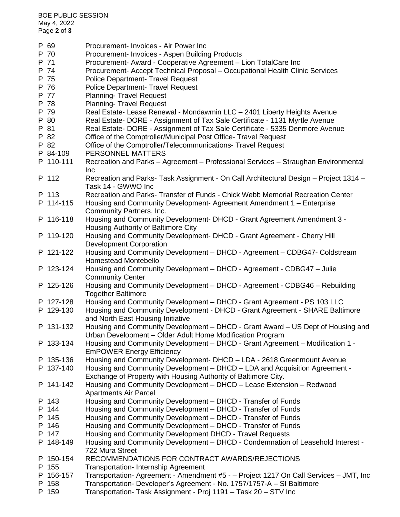BOE PUBLIC SESSION May 4, 2022 Page **2** of **3** P 69 Procurement- Invoices - Air Power Inc P 70 Procurement- Invoices - Aspen Building Products P 71 Procurement- Award - Cooperative Agreement – Lion TotalCare Inc P 74 Procurement- Accept Technical Proposal – Occupational Health Clinic Services P 75 Police Department- Travel Request P 76 Police Department- Travel Request P 77 Planning- Travel Request P 78 Planning- Travel Request P 79 Real Estate- Lease Renewal - Mondawmin LLC – 2401 Liberty Heights Avenue P 80 Real Estate- DORE - Assignment of Tax Sale Certificate - 1131 Myrtle Avenue P 81 Real Estate- DORE - Assignment of Tax Sale Certificate - 5335 Denmore Avenue P 82 Office of the Comptroller/Municipal Post Office- Travel Request P 82 Office of the Comptroller/Telecommunications- Travel Request P 84-109 PERSONNEL MATTERS<br>P 110-111 Recreation and Parks – A Recreation and Parks – Agreement – Professional Services – Straughan Environmental Inc P 112 Recreation and Parks- Task Assignment - On Call Architectural Design – Project 1314 – Task 14 - GWWO Inc P 113 Recreation and Parks- Transfer of Funds - Chick Webb Memorial Recreation Center P 114-115 Housing and Community Development- Agreement Amendment 1 – Enterprise Community Partners, Inc. P 116-118 Housing and Community Development- DHCD - Grant Agreement Amendment 3 - Housing Authority of Baltimore City P 119-120 Housing and Community Development- DHCD - Grant Agreement - Cherry Hill Development Corporation P 121-122 Housing and Community Development – DHCD - Agreement – CDBG47- Coldstream Homestead Montebello P 123-124 Housing and Community Development – DHCD - Agreement - CDBG47 – Julie Community Center P 125-126 Housing and Community Development – DHCD - Agreement - CDBG46 – Rebuilding Together Baltimore P 127-128 Housing and Community Development – DHCD - Grant Agreement - PS 103 LLC P 129-130 Housing and Community Development - DHCD - Grant Agreement - SHARE Baltimore and North East Housing Initiative P 131-132 Housing and Community Development – DHCD - Grant Award – US Dept of Housing and Urban Development – Older Adult Home Modification Program P 133-134 Housing and Community Development – DHCD - Grant Agreement – Modification 1 - EmPOWER Energy Efficiency P 135-136 Housing and Community Development- DHCD – LDA - 2618 Greenmount Avenue P 137-140 Housing and Community Development – DHCD – LDA and Acquisition Agreement - Exchange of Property with Housing Authority of Baltimore City. P 141-142 Housing and Community Development – DHCD – Lease Extension – Redwood Apartments Air Parcel P 143 Housing and Community Development – DHCD - Transfer of Funds P 144 Housing and Community Development – DHCD - Transfer of Funds P 145 Housing and Community Development – DHCD - Transfer of Funds P 146 Housing and Community Development – DHCD - Transfer of Funds P 147 Housing and Community Development DHCD - Travel Requests P 148-149 Housing and Community Development – DHCD - Condemnation of Leasehold Interest - 722 Mura Street P 150-154 RECOMMENDATIONS FOR CONTRACT AWARDS/REJECTIONS P 155 Transportation- Internship Agreement P 156-157 Transportation- Agreement - Amendment #5 - – Project 1217 On Call Services – JMT, Inc P 158 Transportation- Developer's Agreement - No. 1757/1757-A – SI Baltimore

P 159 Transportation- Task Assignment - Proj 1191 – Task 20 – STV Inc